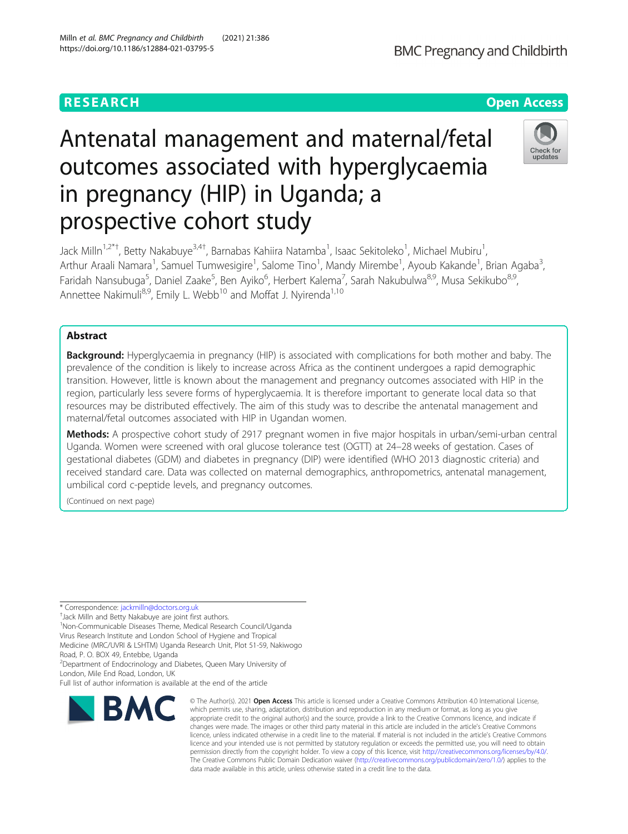# Antenatal management and maternal/fetal outcomes associated with hyperglycaemia in pregnancy (HIP) in Uganda; a prospective cohort study

Jack Milln<sup>1,2\*†</sup>, Betty Nakabuye<sup>3,4†</sup>, Barnabas Kahiira Natamba<sup>1</sup>, Isaac Sekitoleko<sup>1</sup>, Michael Mubiru<sup>1</sup> , Arthur Araali Namara<sup>1</sup>, Samuel Tumwesigire<sup>1</sup>, Salome Tino<sup>1</sup>, Mandy Mirembe<sup>1</sup>, Ayoub Kakande<sup>1</sup>, Brian Agaba<sup>3</sup> , Faridah Nansubuga<sup>5</sup>, Daniel Zaake<sup>5</sup>, Ben Ayiko<sup>6</sup>, Herbert Kalema<sup>7</sup>, Sarah Nakubulwa<sup>8,9</sup>, Musa Sekikubo<sup>8,9</sup>, Annettee Nakimuli<sup>8,9</sup>, Emily L. Webb<sup>10</sup> and Moffat J. Nyirenda<sup>1,10</sup>

# Abstract

**Background:** Hyperglycaemia in pregnancy (HIP) is associated with complications for both mother and baby. The prevalence of the condition is likely to increase across Africa as the continent undergoes a rapid demographic transition. However, little is known about the management and pregnancy outcomes associated with HIP in the region, particularly less severe forms of hyperglycaemia. It is therefore important to generate local data so that resources may be distributed effectively. The aim of this study was to describe the antenatal management and maternal/fetal outcomes associated with HIP in Ugandan women.

Methods: A prospective cohort study of 2917 pregnant women in five major hospitals in urban/semi-urban central Uganda. Women were screened with oral glucose tolerance test (OGTT) at 24–28 weeks of gestation. Cases of gestational diabetes (GDM) and diabetes in pregnancy (DIP) were identified (WHO 2013 diagnostic criteria) and received standard care. Data was collected on maternal demographics, anthropometrics, antenatal management, umbilical cord c-peptide levels, and pregnancy outcomes.

(Continued on next page)

\* Correspondence: [jackmilln@doctors.org.uk](mailto:jackmilln@doctors.org.uk) †

<sup>+</sup>Jack Milln and Betty Nakabuye are joint first authors.

1 Non-Communicable Diseases Theme, Medical Research Council/Uganda Virus Research Institute and London School of Hygiene and Tropical Medicine (MRC/UVRI & LSHTM) Uganda Research Unit, Plot 51-59, Nakiwogo Road, P. O. BOX 49, Entebbe, Uganda

2 Department of Endocrinology and Diabetes, Queen Mary University of London, Mile End Road, London, UK

Full list of author information is available at the end of the article

#### © The Author(s), 2021 **Open Access** This article is licensed under a Creative Commons Attribution 4.0 International License, which permits use, sharing, adaptation, distribution and reproduction in any medium or format, as long as you give appropriate credit to the original author(s) and the source, provide a link to the Creative Commons licence, and indicate if changes were made. The images or other third party material in this article are included in the article's Creative Commons licence, unless indicated otherwise in a credit line to the material. If material is not included in the article's Creative Commons licence and your intended use is not permitted by statutory regulation or exceeds the permitted use, you will need to obtain permission directly from the copyright holder. To view a copy of this licence, visit [http://creativecommons.org/licenses/by/4.0/.](http://creativecommons.org/licenses/by/4.0/) The Creative Commons Public Domain Dedication waiver [\(http://creativecommons.org/publicdomain/zero/1.0/](http://creativecommons.org/publicdomain/zero/1.0/)) applies to the data made available in this article, unless otherwise stated in a credit line to the data.

Milln et al. BMC Pregnancy and Childbirth (2021) 21:386 https://doi.org/10.1186/s12884-021-03795-5





# **RESEARCH CHEAR CHEAR CHEAR CHEAR CHEAR CHEAR CHEAR CHEAR CHEAR CHEAR CHEAR CHEAR CHEAR CHEAR CHEAR CHEAR CHEAR**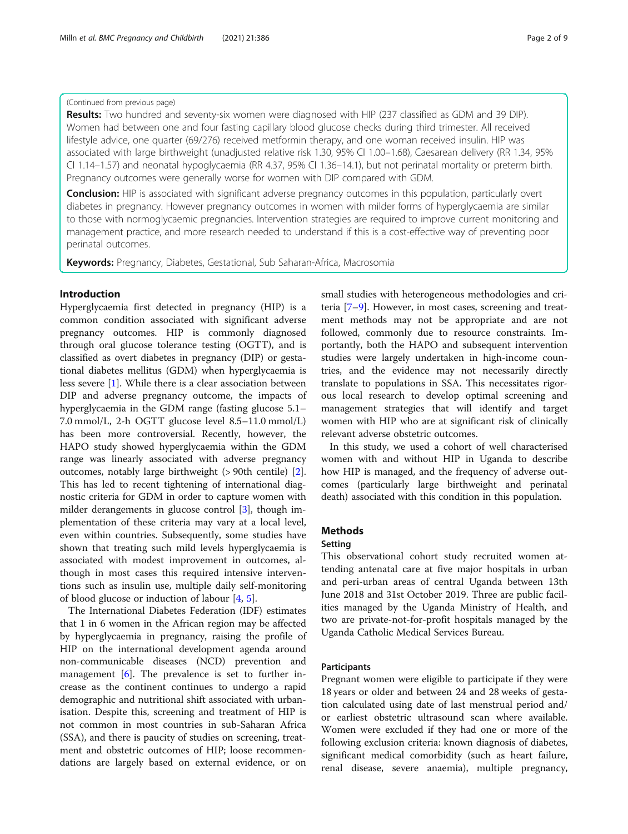# (Continued from previous page)

Results: Two hundred and seventy-six women were diagnosed with HIP (237 classified as GDM and 39 DIP). Women had between one and four fasting capillary blood glucose checks during third trimester. All received lifestyle advice, one quarter (69/276) received metformin therapy, and one woman received insulin. HIP was associated with large birthweight (unadjusted relative risk 1.30, 95% CI 1.00–1.68), Caesarean delivery (RR 1.34, 95% CI 1.14–1.57) and neonatal hypoglycaemia (RR 4.37, 95% CI 1.36–14.1), but not perinatal mortality or preterm birth. Pregnancy outcomes were generally worse for women with DIP compared with GDM.

**Conclusion:** HIP is associated with significant adverse pregnancy outcomes in this population, particularly overt diabetes in pregnancy. However pregnancy outcomes in women with milder forms of hyperglycaemia are similar to those with normoglycaemic pregnancies. Intervention strategies are required to improve current monitoring and management practice, and more research needed to understand if this is a cost-effective way of preventing poor perinatal outcomes.

Keywords: Pregnancy, Diabetes, Gestational, Sub Saharan-Africa, Macrosomia

# Introduction

Hyperglycaemia first detected in pregnancy (HIP) is a common condition associated with significant adverse pregnancy outcomes. HIP is commonly diagnosed through oral glucose tolerance testing (OGTT), and is classified as overt diabetes in pregnancy (DIP) or gestational diabetes mellitus (GDM) when hyperglycaemia is less severe [\[1](#page-8-0)]. While there is a clear association between DIP and adverse pregnancy outcome, the impacts of hyperglycaemia in the GDM range (fasting glucose 5.1– 7.0 mmol/L, 2-h OGTT glucose level 8.5–11.0 mmol/L) has been more controversial. Recently, however, the HAPO study showed hyperglycaemia within the GDM range was linearly associated with adverse pregnancy outcomes, notably large birthweight (> 90th centile) [\[2](#page-8-0)]. This has led to recent tightening of international diagnostic criteria for GDM in order to capture women with milder derangements in glucose control [[3\]](#page-8-0), though implementation of these criteria may vary at a local level, even within countries. Subsequently, some studies have shown that treating such mild levels hyperglycaemia is associated with modest improvement in outcomes, although in most cases this required intensive interventions such as insulin use, multiple daily self-monitoring of blood glucose or induction of labour [[4,](#page-8-0) [5\]](#page-8-0).

The International Diabetes Federation (IDF) estimates that 1 in 6 women in the African region may be affected by hyperglycaemia in pregnancy, raising the profile of HIP on the international development agenda around non-communicable diseases (NCD) prevention and management [[6\]](#page-8-0). The prevalence is set to further increase as the continent continues to undergo a rapid demographic and nutritional shift associated with urbanisation. Despite this, screening and treatment of HIP is not common in most countries in sub-Saharan Africa (SSA), and there is paucity of studies on screening, treatment and obstetric outcomes of HIP; loose recommendations are largely based on external evidence, or on

small studies with heterogeneous methodologies and criteria [\[7](#page-8-0)–[9](#page-8-0)]. However, in most cases, screening and treatment methods may not be appropriate and are not followed, commonly due to resource constraints. Importantly, both the HAPO and subsequent intervention studies were largely undertaken in high-income countries, and the evidence may not necessarily directly translate to populations in SSA. This necessitates rigorous local research to develop optimal screening and management strategies that will identify and target women with HIP who are at significant risk of clinically relevant adverse obstetric outcomes.

In this study, we used a cohort of well characterised women with and without HIP in Uganda to describe how HIP is managed, and the frequency of adverse outcomes (particularly large birthweight and perinatal death) associated with this condition in this population.

# **Methods**

#### Setting

This observational cohort study recruited women attending antenatal care at five major hospitals in urban and peri-urban areas of central Uganda between 13th June 2018 and 31st October 2019. Three are public facilities managed by the Uganda Ministry of Health, and two are private-not-for-profit hospitals managed by the Uganda Catholic Medical Services Bureau.

# Participants

Pregnant women were eligible to participate if they were 18 years or older and between 24 and 28 weeks of gestation calculated using date of last menstrual period and/ or earliest obstetric ultrasound scan where available. Women were excluded if they had one or more of the following exclusion criteria: known diagnosis of diabetes, significant medical comorbidity (such as heart failure, renal disease, severe anaemia), multiple pregnancy,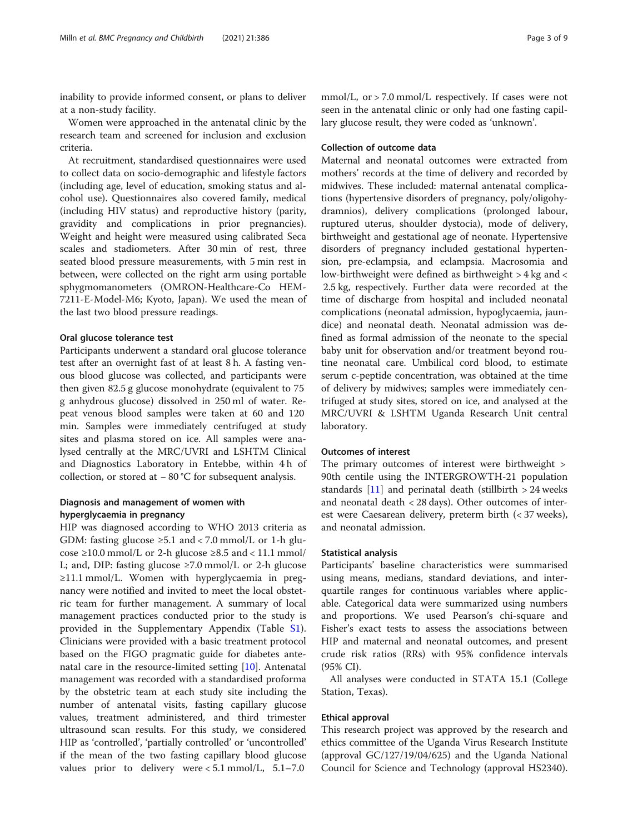inability to provide informed consent, or plans to deliver at a non-study facility.

Women were approached in the antenatal clinic by the research team and screened for inclusion and exclusion criteria.

At recruitment, standardised questionnaires were used to collect data on socio-demographic and lifestyle factors (including age, level of education, smoking status and alcohol use). Questionnaires also covered family, medical (including HIV status) and reproductive history (parity, gravidity and complications in prior pregnancies). Weight and height were measured using calibrated Seca scales and stadiometers. After 30 min of rest, three seated blood pressure measurements, with 5 min rest in between, were collected on the right arm using portable sphygmomanometers (OMRON-Healthcare-Co HEM-7211-E-Model-M6; Kyoto, Japan). We used the mean of the last two blood pressure readings.

# Oral glucose tolerance test

Participants underwent a standard oral glucose tolerance test after an overnight fast of at least 8 h. A fasting venous blood glucose was collected, and participants were then given 82.5 g glucose monohydrate (equivalent to 75 g anhydrous glucose) dissolved in 250 ml of water. Repeat venous blood samples were taken at 60 and 120 min. Samples were immediately centrifuged at study sites and plasma stored on ice. All samples were analysed centrally at the MRC/UVRI and LSHTM Clinical and Diagnostics Laboratory in Entebbe, within 4 h of collection, or stored at − 80 °C for subsequent analysis.

# Diagnosis and management of women with hyperglycaemia in pregnancy

HIP was diagnosed according to WHO 2013 criteria as GDM: fasting glucose  $\geq 5.1$  and < 7.0 mmol/L or 1-h glucose  $\geq$ 10.0 mmol/L or 2-h glucose  $\geq$ 8.5 and < 11.1 mmol/ L; and, DIP: fasting glucose  $\geq 7.0$  mmol/L or 2-h glucose ≥11.1 mmol/L. Women with hyperglycaemia in pregnancy were notified and invited to meet the local obstetric team for further management. A summary of local management practices conducted prior to the study is provided in the Supplementary Appendix (Table [S1](#page-7-0)). Clinicians were provided with a basic treatment protocol based on the FIGO pragmatic guide for diabetes antenatal care in the resource-limited setting [\[10\]](#page-8-0). Antenatal management was recorded with a standardised proforma by the obstetric team at each study site including the number of antenatal visits, fasting capillary glucose values, treatment administered, and third trimester ultrasound scan results. For this study, we considered HIP as 'controlled', 'partially controlled' or 'uncontrolled' if the mean of the two fasting capillary blood glucose values prior to delivery were < 5.1 mmol/L, 5.1–7.0

mmol/L, or  $>$  7.0 mmol/L respectively. If cases were not seen in the antenatal clinic or only had one fasting capillary glucose result, they were coded as 'unknown'.

# Collection of outcome data

Maternal and neonatal outcomes were extracted from mothers' records at the time of delivery and recorded by midwives. These included: maternal antenatal complications (hypertensive disorders of pregnancy, poly/oligohydramnios), delivery complications (prolonged labour, ruptured uterus, shoulder dystocia), mode of delivery, birthweight and gestational age of neonate. Hypertensive disorders of pregnancy included gestational hypertension, pre-eclampsia, and eclampsia. Macrosomia and low-birthweight were defined as birthweight > 4 kg and < 2.5 kg, respectively. Further data were recorded at the time of discharge from hospital and included neonatal complications (neonatal admission, hypoglycaemia, jaundice) and neonatal death. Neonatal admission was defined as formal admission of the neonate to the special baby unit for observation and/or treatment beyond routine neonatal care. Umbilical cord blood, to estimate serum c-peptide concentration, was obtained at the time of delivery by midwives; samples were immediately centrifuged at study sites, stored on ice, and analysed at the MRC/UVRI & LSHTM Uganda Research Unit central laboratory.

# Outcomes of interest

The primary outcomes of interest were birthweight > 90th centile using the INTERGROWTH-21 population standards [\[11\]](#page-8-0) and perinatal death (stillbirth  $> 24$  weeks and neonatal death < 28 days). Other outcomes of interest were Caesarean delivery, preterm birth (< 37 weeks), and neonatal admission.

## Statistical analysis

Participants' baseline characteristics were summarised using means, medians, standard deviations, and interquartile ranges for continuous variables where applicable. Categorical data were summarized using numbers and proportions. We used Pearson's chi-square and Fisher's exact tests to assess the associations between HIP and maternal and neonatal outcomes, and present crude risk ratios (RRs) with 95% confidence intervals (95% CI).

All analyses were conducted in STATA 15.1 (College Station, Texas).

# Ethical approval

This research project was approved by the research and ethics committee of the Uganda Virus Research Institute (approval GC/127/19/04/625) and the Uganda National Council for Science and Technology (approval HS2340).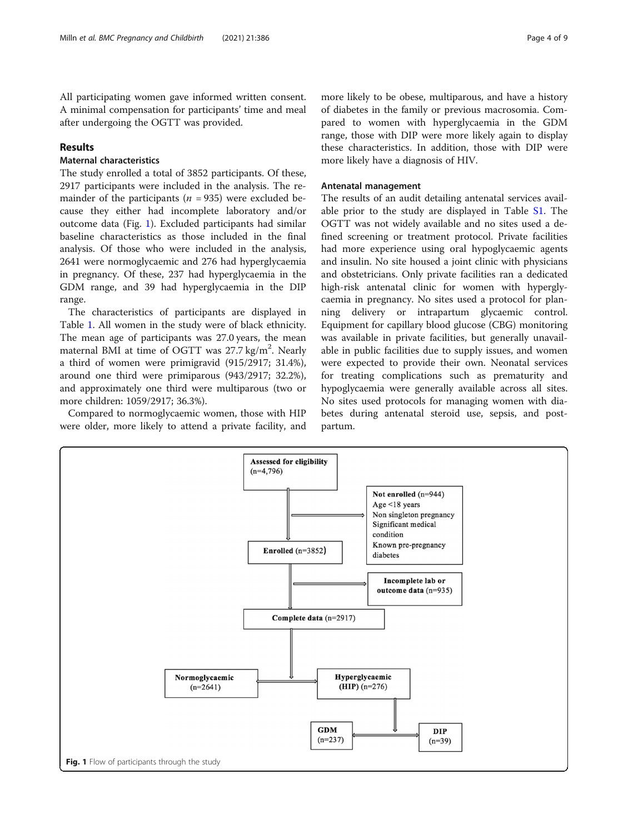All participating women gave informed written consent. A minimal compensation for participants' time and meal after undergoing the OGTT was provided.

# Results

# Maternal characteristics

The study enrolled a total of 3852 participants. Of these, 2917 participants were included in the analysis. The remainder of the participants ( $n = 935$ ) were excluded because they either had incomplete laboratory and/or outcome data (Fig. 1). Excluded participants had similar baseline characteristics as those included in the final analysis. Of those who were included in the analysis, 2641 were normoglycaemic and 276 had hyperglycaemia in pregnancy. Of these, 237 had hyperglycaemia in the GDM range, and 39 had hyperglycaemia in the DIP range.

The characteristics of participants are displayed in Table [1.](#page-4-0) All women in the study were of black ethnicity. The mean age of participants was 27.0 years, the mean maternal BMI at time of OGTT was 27.7 kg/m<sup>2</sup>. Nearly a third of women were primigravid (915/2917; 31.4%), around one third were primiparous (943/2917; 32.2%), and approximately one third were multiparous (two or more children: 1059/2917; 36.3%).

Compared to normoglycaemic women, those with HIP were older, more likely to attend a private facility, and

more likely to be obese, multiparous, and have a history of diabetes in the family or previous macrosomia. Compared to women with hyperglycaemia in the GDM range, those with DIP were more likely again to display these characteristics. In addition, those with DIP were more likely have a diagnosis of HIV.

# Antenatal management

The results of an audit detailing antenatal services available prior to the study are displayed in Table [S1.](#page-7-0) The OGTT was not widely available and no sites used a defined screening or treatment protocol. Private facilities had more experience using oral hypoglycaemic agents and insulin. No site housed a joint clinic with physicians and obstetricians. Only private facilities ran a dedicated high-risk antenatal clinic for women with hyperglycaemia in pregnancy. No sites used a protocol for planning delivery or intrapartum glycaemic control. Equipment for capillary blood glucose (CBG) monitoring was available in private facilities, but generally unavailable in public facilities due to supply issues, and women were expected to provide their own. Neonatal services for treating complications such as prematurity and hypoglycaemia were generally available across all sites. No sites used protocols for managing women with diabetes during antenatal steroid use, sepsis, and postpartum.

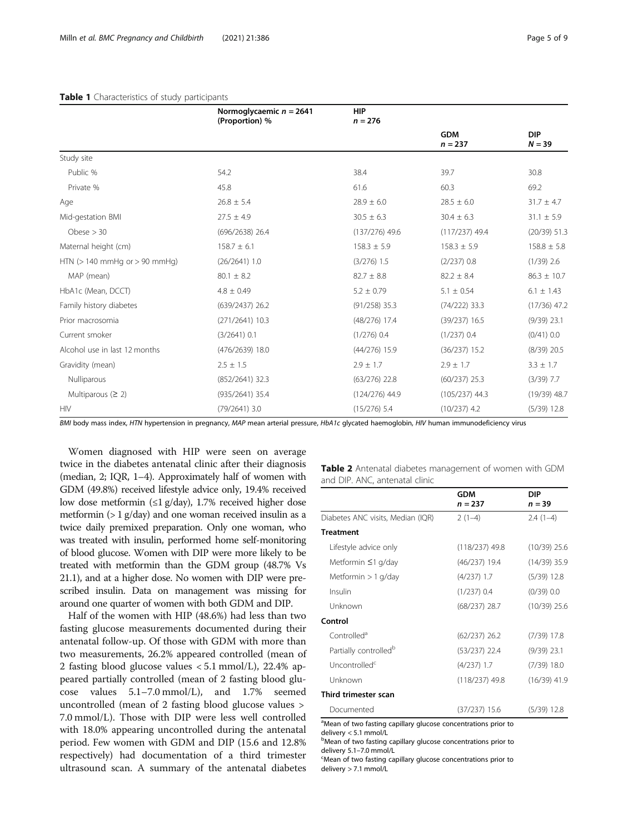|                                    | Normoglycaemic $n = 2641$<br>(Proportion) % | <b>HIP</b><br>$n = 276$ |                         |                        |
|------------------------------------|---------------------------------------------|-------------------------|-------------------------|------------------------|
|                                    |                                             |                         | <b>GDM</b><br>$n = 237$ | <b>DIP</b><br>$N = 39$ |
| Study site                         |                                             |                         |                         |                        |
| Public %                           | 54.2                                        | 38.4                    | 39.7                    | 30.8                   |
| Private %                          | 45.8                                        | 61.6                    | 60.3                    | 69.2                   |
| Age                                | $26.8 \pm 5.4$                              | $28.9 \pm 6.0$          | $28.5 \pm 6.0$          | $31.7 \pm 4.7$         |
| Mid-gestation BMI                  | $30.5 \pm 6.3$<br>$27.5 \pm 4.9$            |                         | $30.4 \pm 6.3$          | $31.1 \pm 5.9$         |
| Obese $> 30$                       | (696/2638) 26.4<br>$(137/276)$ 49.6         |                         | $(117/237)$ 49.4        | (20/39) 51.3           |
| Maternal height (cm)               | $158.7 \pm 6.1$                             | $158.3 \pm 5.9$         | $158.3 \pm 5.9$         | $158.8 \pm 5.8$        |
| HTN ( $> 140$ mmHg or $> 90$ mmHg) | $(26/2641)$ 1.0                             | $(3/276)$ 1.5           | $(2/237)$ 0.8           | $(1/39)$ 2.6           |
| MAP (mean)                         | $80.1 \pm 8.2$                              | $82.7 \pm 8.8$          | $82.2 \pm 8.4$          | $86.3 \pm 10.7$        |
| HbA1c (Mean, DCCT)                 | $4.8 \pm 0.49$                              | $5.2 \pm 0.79$          | $5.1 \pm 0.54$          | $6.1 \pm 1.43$         |
| Family history diabetes            | $(639/2437)$ 26.2                           | $(91/258)$ 35.3         | $(74/222)$ 33.3         | $(17/36)$ 47.2         |
| Prior macrosomia                   | $(271/2641)$ 10.3                           | $(48/276)$ 17.4         | $(39/237)$ 16.5         | $(9/39)$ 23.1          |
| Current smoker                     | $(3/2641)$ 0.1                              | $(1/276)$ 0.4           | $(1/237)$ 0.4           | $(0/41)$ 0.0           |
| Alcohol use in last 12 months      | $(476/2639)$ 18.0                           | $(44/276)$ 15.9         | $(36/237)$ 15.2         | $(8/39)$ 20.5          |
| Gravidity (mean)                   | $2.5 \pm 1.5$                               | $2.9 \pm 1.7$           | $2.9 \pm 1.7$           | $3.3 \pm 1.7$          |
| Nulliparous                        | $(852/2641)$ 32.3                           | $(63/276)$ 22.8         | $(60/237)$ 25.3         | $(3/39)$ 7.7           |
| Multiparous $(2 2)$                | (935/2641) 35.4                             | $(124/276)$ 44.9        | $(105/237)$ 44.3        | $(19/39)$ 48.7         |
| <b>HIV</b>                         | $(79/2641)$ 3.0                             | $(15/276)$ 5.4          | $(10/237)$ 4.2          | $(5/39)$ 12.8          |

# <span id="page-4-0"></span>Table 1 Characteristics of study participants

BMI body mass index, HTN hypertension in pregnancy, MAP mean arterial pressure, HbA1c glycated haemoglobin, HIV human immunodeficiency virus

Women diagnosed with HIP were seen on average twice in the diabetes antenatal clinic after their diagnosis (median, 2; IQR, 1–4). Approximately half of women with GDM (49.8%) received lifestyle advice only, 19.4% received low dose metformin (≤1 g/day), 1.7% received higher dose metformin (> 1 g/day) and one woman received insulin as a twice daily premixed preparation. Only one woman, who was treated with insulin, performed home self-monitoring of blood glucose. Women with DIP were more likely to be treated with metformin than the GDM group (48.7% Vs 21.1), and at a higher dose. No women with DIP were prescribed insulin. Data on management was missing for around one quarter of women with both GDM and DIP.

Half of the women with HIP (48.6%) had less than two fasting glucose measurements documented during their antenatal follow-up. Of those with GDM with more than two measurements, 26.2% appeared controlled (mean of 2 fasting blood glucose values < 5.1 mmol/L), 22.4% appeared partially controlled (mean of 2 fasting blood glucose values 5.1–7.0 mmol/L), and 1.7% seemed uncontrolled (mean of 2 fasting blood glucose values > 7.0 mmol/L). Those with DIP were less well controlled with 18.0% appearing uncontrolled during the antenatal period. Few women with GDM and DIP (15.6 and 12.8% respectively) had documentation of a third trimester ultrasound scan. A summary of the antenatal diabetes

|                                | Table 2 Antenatal diabetes management of women with GDM |  |  |
|--------------------------------|---------------------------------------------------------|--|--|
| and DIP. ANC, antenatal clinic |                                                         |  |  |

|                                                                               | <b>GDM</b><br>$n = 237$ | DIP<br>$n = 39$ |
|-------------------------------------------------------------------------------|-------------------------|-----------------|
| Diabetes ANC visits, Median (IQR)                                             | $2(1-4)$                | $2.4(1-4)$      |
| <b>Treatment</b>                                                              |                         |                 |
| Lifestyle advice only                                                         | $(118/237)$ 49.8        | $(10/39)$ 25.6  |
| Metformin $\leq$ 1 g/day                                                      | $(46/237)$ 19.4         | (14/39) 35.9    |
| Metformin $> 1$ g/day                                                         | $(4/237)$ 1.7           | $(5/39)$ 12.8   |
| Insulin                                                                       | $(1/237)$ 0.4           | (0/39) 0.0      |
| Unknown                                                                       | $(68/237)$ 28.7         | $(10/39)$ 25.6  |
| Control                                                                       |                         |                 |
| Controlled <sup>a</sup>                                                       | $(62/237)$ 26.2         | $(7/39)$ 17.8   |
| Partially controlled <sup>b</sup>                                             | $(53/237)$ 22.4         | $(9/39)$ 23.1   |
| Uncontrolled <sup>c</sup>                                                     | $(4/237)$ 1.7           | $(7/39)$ 18.0   |
| Unknown                                                                       | $(118/237)$ 49.8        | $(16/39)$ 41.9  |
| Third trimester scan                                                          |                         |                 |
| Documented<br>allege of two facting capillary glucose concentrations prior to | $(37/237)$ 15.6         | $(5/39)$ 12.8   |

Mean of two fasting capillary glucose concentrations prior to

delivery < 5.1 mmol/L

**b**Mean of two fasting capillary glucose concentrations prior to delivery 5.1-7.0 mmol/L

Mean of two fasting capillary glucose concentrations prior to delivery > 7.1 mmol/L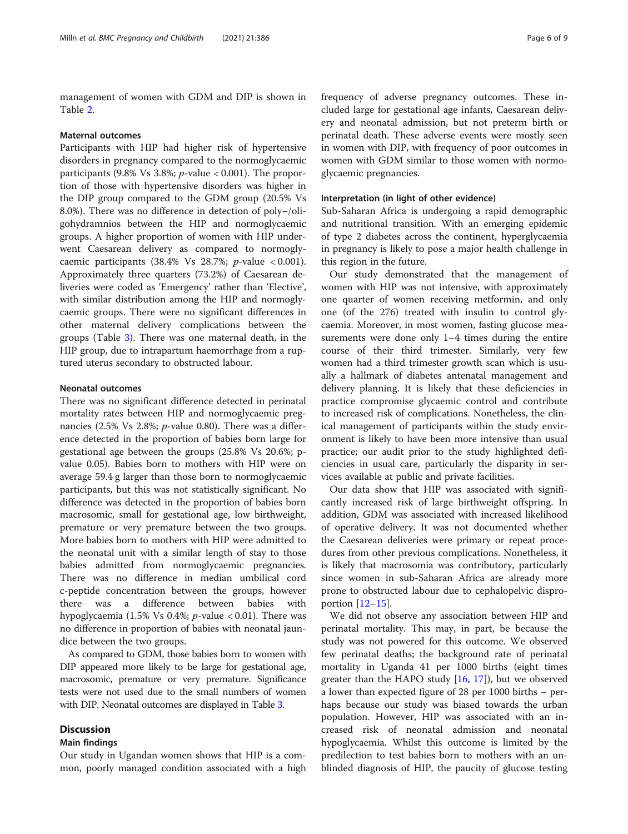management of women with GDM and DIP is shown in Table [2.](#page-4-0)

#### Maternal outcomes

Participants with HIP had higher risk of hypertensive disorders in pregnancy compared to the normoglycaemic participants (9.8% Vs 3.8%;  $p$ -value < 0.001). The proportion of those with hypertensive disorders was higher in the DIP group compared to the GDM group (20.5% Vs 8.0%). There was no difference in detection of poly−/oligohydramnios between the HIP and normoglycaemic groups. A higher proportion of women with HIP underwent Caesarean delivery as compared to normoglycaemic participants (38.4% Vs 28.7%;  $p$ -value < 0.001). Approximately three quarters (73.2%) of Caesarean deliveries were coded as 'Emergency' rather than 'Elective', with similar distribution among the HIP and normoglycaemic groups. There were no significant differences in other maternal delivery complications between the groups (Table [3](#page-6-0)). There was one maternal death, in the HIP group, due to intrapartum haemorrhage from a ruptured uterus secondary to obstructed labour.

# Neonatal outcomes

There was no significant difference detected in perinatal mortality rates between HIP and normoglycaemic pregnancies (2.5% Vs 2.8%; p-value 0.80). There was a difference detected in the proportion of babies born large for gestational age between the groups (25.8% Vs 20.6%; pvalue 0.05). Babies born to mothers with HIP were on average 59.4 g larger than those born to normoglycaemic participants, but this was not statistically significant. No difference was detected in the proportion of babies born macrosomic, small for gestational age, low birthweight, premature or very premature between the two groups. More babies born to mothers with HIP were admitted to the neonatal unit with a similar length of stay to those babies admitted from normoglycaemic pregnancies. There was no difference in median umbilical cord c-peptide concentration between the groups, however there was a difference between babies with hypoglycaemia (1.5% Vs 0.4%;  $p$ -value < 0.01). There was no difference in proportion of babies with neonatal jaundice between the two groups.

As compared to GDM, those babies born to women with DIP appeared more likely to be large for gestational age, macrosomic, premature or very premature. Significance tests were not used due to the small numbers of women with DIP. Neonatal outcomes are displayed in Table [3.](#page-6-0)

# **Discussion**

# Main findings

Our study in Ugandan women shows that HIP is a common, poorly managed condition associated with a high frequency of adverse pregnancy outcomes. These included large for gestational age infants, Caesarean delivery and neonatal admission, but not preterm birth or perinatal death. These adverse events were mostly seen in women with DIP, with frequency of poor outcomes in women with GDM similar to those women with normoglycaemic pregnancies.

#### Interpretation (in light of other evidence)

Sub-Saharan Africa is undergoing a rapid demographic and nutritional transition. With an emerging epidemic of type 2 diabetes across the continent, hyperglycaemia in pregnancy is likely to pose a major health challenge in this region in the future.

Our study demonstrated that the management of women with HIP was not intensive, with approximately one quarter of women receiving metformin, and only one (of the 276) treated with insulin to control glycaemia. Moreover, in most women, fasting glucose measurements were done only 1–4 times during the entire course of their third trimester. Similarly, very few women had a third trimester growth scan which is usually a hallmark of diabetes antenatal management and delivery planning. It is likely that these deficiencies in practice compromise glycaemic control and contribute to increased risk of complications. Nonetheless, the clinical management of participants within the study environment is likely to have been more intensive than usual practice; our audit prior to the study highlighted deficiencies in usual care, particularly the disparity in services available at public and private facilities.

Our data show that HIP was associated with significantly increased risk of large birthweight offspring. In addition, GDM was associated with increased likelihood of operative delivery. It was not documented whether the Caesarean deliveries were primary or repeat procedures from other previous complications. Nonetheless, it is likely that macrosomia was contributory, particularly since women in sub-Saharan Africa are already more prone to obstructed labour due to cephalopelvic disproportion [\[12](#page-8-0)–[15\]](#page-8-0).

We did not observe any association between HIP and perinatal mortality. This may, in part, be because the study was not powered for this outcome. We observed few perinatal deaths; the background rate of perinatal mortality in Uganda 41 per 1000 births (eight times greater than the HAPO study [[16,](#page-8-0) [17\]](#page-8-0)), but we observed a lower than expected figure of 28 per 1000 births – perhaps because our study was biased towards the urban population. However, HIP was associated with an increased risk of neonatal admission and neonatal hypoglycaemia. Whilst this outcome is limited by the predilection to test babies born to mothers with an unblinded diagnosis of HIP, the paucity of glucose testing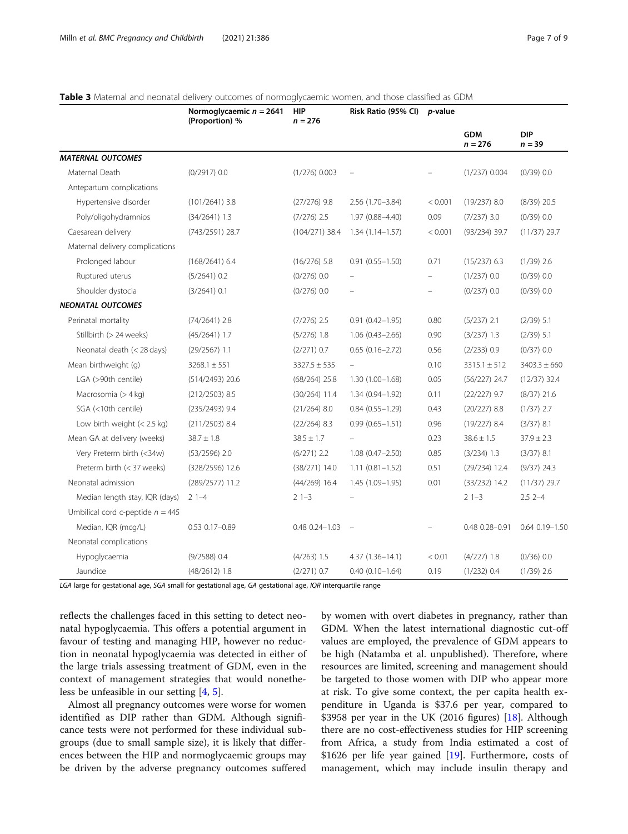<span id="page-6-0"></span>

| Table 3 Maternal and neonatal delivery outcomes of normoglycaemic women, and those classified as GDM |  |
|------------------------------------------------------------------------------------------------------|--|
|                                                                                                      |  |

|                                       | Normoglycaemic $n = 2641$<br>(Proportion) % | <b>HIP</b><br>$n = 276$ | Risk Ratio (95% CI)      | <i>p</i> -value          |                         |                        |
|---------------------------------------|---------------------------------------------|-------------------------|--------------------------|--------------------------|-------------------------|------------------------|
|                                       |                                             |                         |                          |                          | <b>GDM</b><br>$n = 276$ | <b>DIP</b><br>$n = 39$ |
| <b>MATERNAL OUTCOMES</b>              |                                             |                         |                          |                          |                         |                        |
| Maternal Death                        | (0/2917) 0.0                                | $(1/276)$ 0.003         |                          |                          | $(1/237)$ 0.004         | $(0/39)$ 0.0           |
| Antepartum complications              |                                             |                         |                          |                          |                         |                        |
| Hypertensive disorder                 | $(101/2641)$ 3.8                            | $(27/276)$ 9.8          | 2.56 (1.70-3.84)         | < 0.001                  | $(19/237)$ 8.0          | $(8/39)$ 20.5          |
| Poly/oligohydramnios                  | $(34/2641)$ 1.3                             | $(7/276)$ 2.5           | 1.97 (0.88-4.40)         | 0.09                     | $(7/237)$ 3.0           | $(0/39)$ 0.0           |
| Caesarean delivery                    | (743/2591) 28.7                             | $(104/271)$ 38.4        | $1.34(1.14 - 1.57)$      | < 0.001                  | $(93/234)$ 39.7         | $(11/37)$ 29.7         |
| Maternal delivery complications       |                                             |                         |                          |                          |                         |                        |
| Prolonged labour                      | $(168/2641)$ 6.4                            | $(16/276)$ 5.8          | $0.91(0.55 - 1.50)$      | 0.71                     | $(15/237)$ 6.3          | $(1/39)$ 2.6           |
| Ruptured uterus                       | $(5/2641)$ 0.2                              | $(0/276)$ 0.0           |                          |                          | $(1/237)$ 0.0           | (0/39) 0.0             |
| Shoulder dystocia                     | $(3/2641)$ 0.1                              | $(0/276)$ 0.0           | $\overline{\phantom{0}}$ | $\overline{\phantom{0}}$ | $(0/237)$ 0.0           | (0/39) 0.0             |
| <b>NEONATAL OUTCOMES</b>              |                                             |                         |                          |                          |                         |                        |
| Perinatal mortality                   | $(74/2641)$ 2.8                             | $(7/276)$ 2.5           | $0.91(0.42 - 1.95)$      | 0.80                     | $(5/237)$ 2.1           | $(2/39)$ 5.1           |
| Stillbirth (> 24 weeks)               | $(45/2641)$ 1.7                             | $(5/276)$ 1.8           | $1.06(0.43 - 2.66)$      | 0.90                     | $(3/237)$ 1.3           | $(2/39)$ 5.1           |
| Neonatal death (< 28 days)            | $(29/2567)$ 1.1                             | $(2/271)$ 0.7           | $0.65(0.16 - 2.72)$      | 0.56                     | (2/233) 0.9             | (0/37) 0.0             |
| Mean birthweight (g)                  | $3268.1 \pm 551$                            | $3327.5 \pm 535$        |                          | 0.10                     | $3315.1 \pm 512$        | $3403.3 \pm 660$       |
| LGA (>90th centile)                   | $(514/2493)$ 20.6                           | $(68/264)$ 25.8         | $1.30(1.00 - 1.68)$      | 0.05                     | $(56/227)$ 24.7         | $(12/37)$ 32.4         |
| Macrosomia (> 4 kg)                   | $(212/2503)$ 8.5                            | $(30/264)$ 11.4         | 1.34 (0.94-1.92)         | 0.11                     | $(22/227)$ 9.7          | $(8/37)$ 21.6          |
| SGA (<10th centile)                   | $(235/2493)$ 9.4                            | $(21/264)$ 8.0          | $0.84(0.55 - 1.29)$      | 0.43                     | $(20/227)$ 8.8          | $(1/37)$ 2.7           |
| Low birth weight $(< 2.5 \text{ kg})$ | $(211/2503)$ 8.4                            | $(22/264)$ 8.3          | $0.99(0.65 - 1.51)$      | 0.96                     | $(19/227)$ 8.4          | $(3/37)$ 8.1           |
| Mean GA at delivery (weeks)           | $38.7 \pm 1.8$                              | $38.5 \pm 1.7$          |                          | 0.23                     | $38.6 \pm 1.5$          | $37.9 \pm 2.3$         |
| Very Preterm birth (<34w)             | $(53/2596)$ 2.0                             | $(6/271)$ 2.2           | $1.08(0.47 - 2.50)$      | 0.85                     | $(3/234)$ 1.3           | $(3/37)$ 8.1           |
| Preterm birth (< 37 weeks)            | (328/2596) 12.6                             | $(38/271)$ 14.0         | $1.11(0.81 - 1.52)$      | 0.51                     | $(29/234)$ 12.4         | $(9/37)$ 24.3          |
| Neonatal admission                    | $(289/2577)$ 11.2                           | $(44/269)$ 16.4         | $1.45(1.09 - 1.95)$      | 0.01                     | $(33/232)$ 14.2         | $(11/37)$ 29.7         |
| Median length stay, IQR (days)        | $21 - -4$                                   | $21 - 3$                |                          |                          | $21 - 3$                | $2.52 - -4$            |
| Umbilical cord c-peptide $n = 445$    |                                             |                         |                          |                          |                         |                        |
| Median, IQR (mcg/L)                   | 0.53 0.17-0.89                              | 0.48 0.24-1.03          | $\overline{\phantom{a}}$ |                          | 0.48 0.28-0.91          | 0.64 0.19 - 1.50       |
| Neonatal complications                |                                             |                         |                          |                          |                         |                        |
| Hypoglycaemia                         | $(9/2588)$ 0.4                              | $(4/263)$ 1.5           | $4.37(1.36 - 14.1)$      | < 0.01                   | $(4/227)$ 1.8           | (0/36) 0.0             |
| Jaundice                              | $(48/2612)$ 1.8                             | $(2/271)$ 0.7           | $0.40(0.10 - 1.64)$      | 0.19                     | $(1/232)$ 0.4           | $(1/39)$ 2.6           |

LGA large for gestational age, SGA small for gestational age, GA gestational age, IQR interquartile range

reflects the challenges faced in this setting to detect neonatal hypoglycaemia. This offers a potential argument in favour of testing and managing HIP, however no reduction in neonatal hypoglycaemia was detected in either of the large trials assessing treatment of GDM, even in the context of management strategies that would nonetheless be unfeasible in our setting [[4,](#page-8-0) [5\]](#page-8-0).

Almost all pregnancy outcomes were worse for women identified as DIP rather than GDM. Although significance tests were not performed for these individual subgroups (due to small sample size), it is likely that differences between the HIP and normoglycaemic groups may be driven by the adverse pregnancy outcomes suffered

by women with overt diabetes in pregnancy, rather than GDM. When the latest international diagnostic cut-off values are employed, the prevalence of GDM appears to be high (Natamba et al. unpublished). Therefore, where resources are limited, screening and management should be targeted to those women with DIP who appear more at risk. To give some context, the per capita health expenditure in Uganda is \$37.6 per year, compared to \$3958 per year in the UK (2016 figures) [\[18\]](#page-8-0). Although there are no cost-effectiveness studies for HIP screening from Africa, a study from India estimated a cost of \$1626 per life year gained [\[19](#page-8-0)]. Furthermore, costs of management, which may include insulin therapy and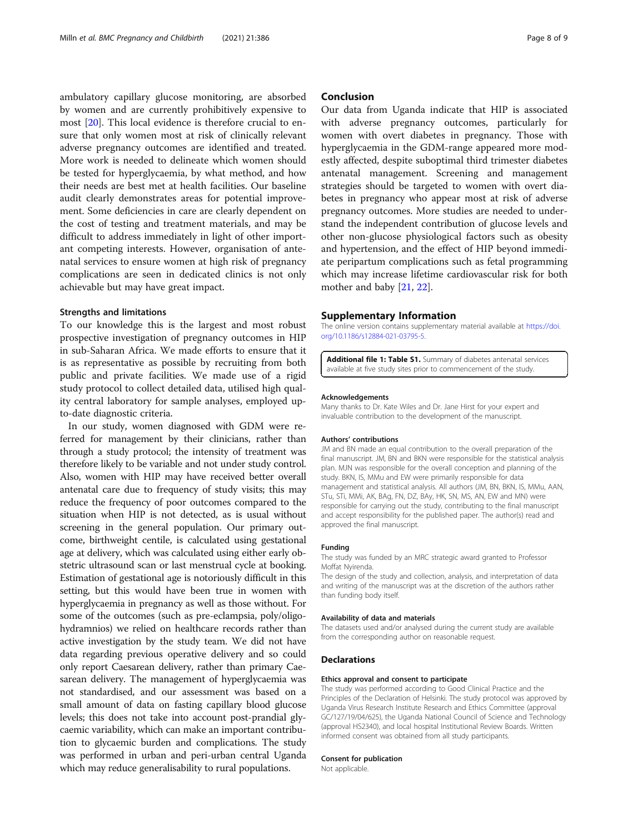<span id="page-7-0"></span>ambulatory capillary glucose monitoring, are absorbed by women and are currently prohibitively expensive to most [[20](#page-8-0)]. This local evidence is therefore crucial to ensure that only women most at risk of clinically relevant adverse pregnancy outcomes are identified and treated. More work is needed to delineate which women should be tested for hyperglycaemia, by what method, and how their needs are best met at health facilities. Our baseline audit clearly demonstrates areas for potential improvement. Some deficiencies in care are clearly dependent on the cost of testing and treatment materials, and may be difficult to address immediately in light of other important competing interests. However, organisation of antenatal services to ensure women at high risk of pregnancy complications are seen in dedicated clinics is not only achievable but may have great impact.

## Strengths and limitations

To our knowledge this is the largest and most robust prospective investigation of pregnancy outcomes in HIP in sub-Saharan Africa. We made efforts to ensure that it is as representative as possible by recruiting from both public and private facilities. We made use of a rigid study protocol to collect detailed data, utilised high quality central laboratory for sample analyses, employed upto-date diagnostic criteria.

In our study, women diagnosed with GDM were referred for management by their clinicians, rather than through a study protocol; the intensity of treatment was therefore likely to be variable and not under study control. Also, women with HIP may have received better overall antenatal care due to frequency of study visits; this may reduce the frequency of poor outcomes compared to the situation when HIP is not detected, as is usual without screening in the general population. Our primary outcome, birthweight centile, is calculated using gestational age at delivery, which was calculated using either early obstetric ultrasound scan or last menstrual cycle at booking. Estimation of gestational age is notoriously difficult in this setting, but this would have been true in women with hyperglycaemia in pregnancy as well as those without. For some of the outcomes (such as pre-eclampsia, poly/oligohydramnios) we relied on healthcare records rather than active investigation by the study team. We did not have data regarding previous operative delivery and so could only report Caesarean delivery, rather than primary Caesarean delivery. The management of hyperglycaemia was not standardised, and our assessment was based on a small amount of data on fasting capillary blood glucose levels; this does not take into account post-prandial glycaemic variability, which can make an important contribution to glycaemic burden and complications. The study was performed in urban and peri-urban central Uganda which may reduce generalisability to rural populations.

# Conclusion

Our data from Uganda indicate that HIP is associated with adverse pregnancy outcomes, particularly for women with overt diabetes in pregnancy. Those with hyperglycaemia in the GDM-range appeared more modestly affected, despite suboptimal third trimester diabetes antenatal management. Screening and management strategies should be targeted to women with overt diabetes in pregnancy who appear most at risk of adverse pregnancy outcomes. More studies are needed to understand the independent contribution of glucose levels and other non-glucose physiological factors such as obesity and hypertension, and the effect of HIP beyond immediate peripartum complications such as fetal programming which may increase lifetime cardiovascular risk for both mother and baby [[21](#page-8-0), [22](#page-8-0)].

## Supplementary Information

The online version contains supplementary material available at [https://doi.](https://doi.org/10.1186/s12884-021-03795-5) [org/10.1186/s12884-021-03795-5.](https://doi.org/10.1186/s12884-021-03795-5)

Additional file 1: Table S1. Summary of diabetes antenatal services available at five study sites prior to commencement of the study.

#### Acknowledgements

Many thanks to Dr. Kate Wiles and Dr. Jane Hirst for your expert and invaluable contribution to the development of the manuscript.

#### Authors' contributions

JM and BN made an equal contribution to the overall preparation of the final manuscript. JM, BN and BKN were responsible for the statistical analysis plan. MJN was responsible for the overall conception and planning of the study. BKN, IS, MMu and EW were primarily responsible for data management and statistical analysis. All authors (JM, BN, BKN, IS, MMu, AAN, STu, STi, MMi, AK, BAg, FN, DZ, BAy, HK, SN, MS, AN, EW and MN) were responsible for carrying out the study, contributing to the final manuscript and accept responsibility for the published paper. The author(s) read and approved the final manuscript.

## Funding

The study was funded by an MRC strategic award granted to Professor Moffat Nyirenda.

The design of the study and collection, analysis, and interpretation of data and writing of the manuscript was at the discretion of the authors rather than funding body itself.

# Availability of data and materials

The datasets used and/or analysed during the current study are available from the corresponding author on reasonable request.

# Declarations

### Ethics approval and consent to participate

The study was performed according to Good Clinical Practice and the Principles of the Declaration of Helsinki. The study protocol was approved by Uganda Virus Research Institute Research and Ethics Committee (approval GC/127/19/04/625), the Uganda National Council of Science and Technology (approval HS2340), and local hospital Institutional Review Boards. Written informed consent was obtained from all study participants.

#### Consent for publication

Not applicable.